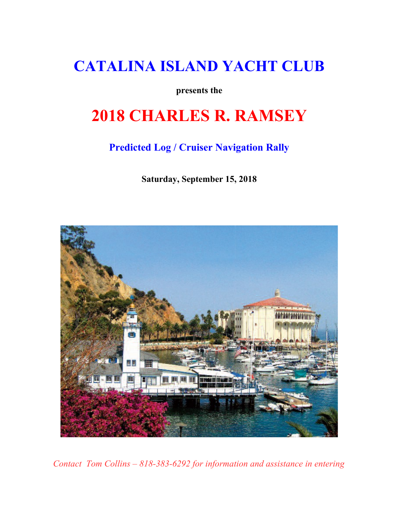## **CATALINA ISLAND YACHT CLUB**

**presents the**

# **2018 CHARLES R. RAMSEY**

### **Predicted Log / Cruiser Navigation Rally**

**Saturday, September 15, 2018**



*Contact Tom Collins – 818-383-6292 for information and assistance in entering*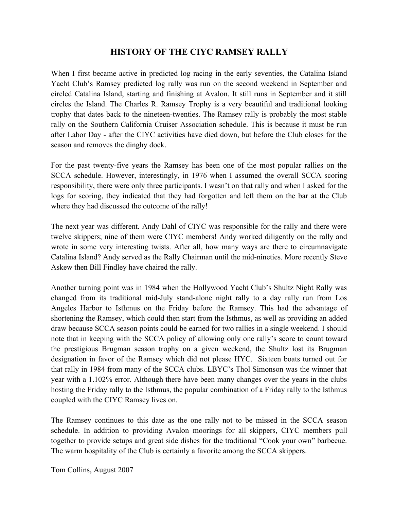#### **HISTORY OF THE CIYC RAMSEY RALLY**

When I first became active in predicted log racing in the early seventies, the Catalina Island Yacht Club's Ramsey predicted log rally was run on the second weekend in September and circled Catalina Island, starting and finishing at Avalon. It still runs in September and it still circles the Island. The Charles R. Ramsey Trophy is a very beautiful and traditional looking trophy that dates back to the nineteen-twenties. The Ramsey rally is probably the most stable rally on the Southern California Cruiser Association schedule. This is because it must be run after Labor Day - after the CIYC activities have died down, but before the Club closes for the season and removes the dinghy dock.

For the past twenty-five years the Ramsey has been one of the most popular rallies on the SCCA schedule. However, interestingly, in 1976 when I assumed the overall SCCA scoring responsibility, there were only three participants. I wasn't on that rally and when I asked for the logs for scoring, they indicated that they had forgotten and left them on the bar at the Club where they had discussed the outcome of the rally!

The next year was different. Andy Dahl of CIYC was responsible for the rally and there were twelve skippers; nine of them were CIYC members! Andy worked diligently on the rally and wrote in some very interesting twists. After all, how many ways are there to circumnavigate Catalina Island? Andy served as the Rally Chairman until the mid-nineties. More recently Steve Askew then Bill Findley have chaired the rally.

Another turning point was in 1984 when the Hollywood Yacht Club's Shultz Night Rally was changed from its traditional mid-July stand-alone night rally to a day rally run from Los Angeles Harbor to Isthmus on the Friday before the Ramsey. This had the advantage of shortening the Ramsey, which could then start from the Isthmus, as well as providing an added draw because SCCA season points could be earned for two rallies in a single weekend. I should note that in keeping with the SCCA policy of allowing only one rally's score to count toward the prestigious Brugman season trophy on a given weekend, the Shultz lost its Brugman designation in favor of the Ramsey which did not please HYC. Sixteen boats turned out for that rally in 1984 from many of the SCCA clubs. LBYC's Thol Simonson was the winner that year with a 1.102% error. Although there have been many changes over the years in the clubs hosting the Friday rally to the Isthmus, the popular combination of a Friday rally to the Isthmus coupled with the CIYC Ramsey lives on.

The Ramsey continues to this date as the one rally not to be missed in the SCCA season schedule. In addition to providing Avalon moorings for all skippers, CIYC members pull together to provide setups and great side dishes for the traditional "Cook your own" barbecue. The warm hospitality of the Club is certainly a favorite among the SCCA skippers.

Tom Collins, August 2007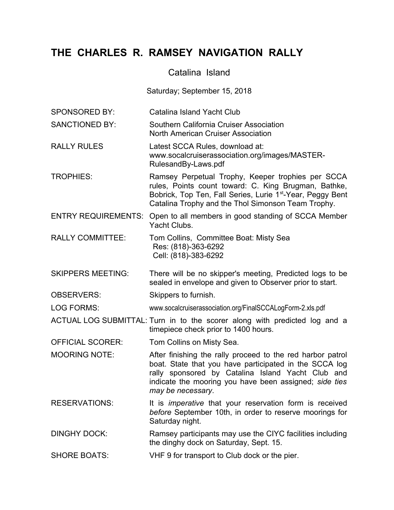### **THE CHARLES R. RAMSEY NAVIGATION RALLY**

#### Catalina Island

Saturday; September 15, 2018

- SPONSORED BY: Catalina Island Yacht Club
- SANCTIONED BY: Southern California Cruiser Association North American Cruiser Association
- RALLY RULES Latest SCCA Rules, download at: www.socalcruiserassociation.org/images/MASTER-RulesandBy-Laws.pdf
- TROPHIES: Ramsey Perpetual Trophy, Keeper trophies per SCCA rules, Points count toward: C. King Brugman, Bathke, Bobrick, Top Ten, Fall Series, Lurie 1<sup>st</sup>-Year, Peggy Bent Catalina Trophy and the Thol Simonson Team Trophy.
- ENTRY REQUIREMENTS: Open to all members in good standing of SCCA Member Yacht Clubs.
- RALLY COMMITTEE: Tom Collins, Committee Boat: Misty Sea Res: (818)-363-6292 Cell: (818)-383-6292
- SKIPPERS MEETING: There will be no skipper's meeting, Predicted logs to be sealed in envelope and given to Observer prior to start.
- OBSERVERS: Skippers to furnish.

LOG FORMS: www.socalcruiserassociation.org/FinalSCCALogForm-2.xls.pdf

- ACTUAL LOG SUBMITTAL: Turn in to the scorer along with predicted log and a timepiece check prior to 1400 hours.
- OFFICIAL SCORER: Tom Collins on Misty Sea.
- MOORING NOTE: After finishing the rally proceed to the red harbor patrol boat. State that you have participated in the SCCA log rally sponsored by Catalina Island Yacht Club and indicate the mooring you have been assigned; *side ties may be necessary*.
- RESERVATIONS: It is *imperative* that your reservation form is received *before* September 10th, in order to reserve moorings for Saturday night.
- DINGHY DOCK: Ramsey participants may use the CIYC facilities including the dinghy dock on Saturday, Sept. 15.
- SHORE BOATS: VHF 9 for transport to Club dock or the pier.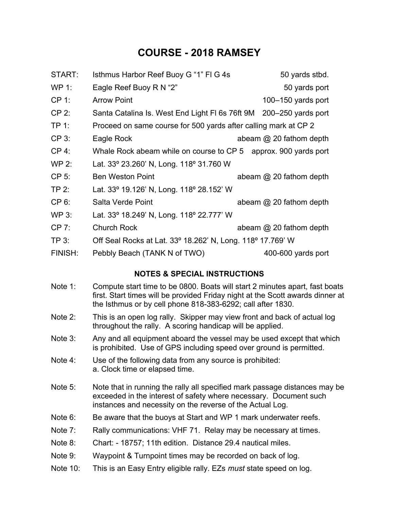### **COURSE - 2018 RAMSEY**

| START:   | Isthmus Harbor Reef Buoy G "1" FI G 4s                             | 50 yards stbd. |                           |
|----------|--------------------------------------------------------------------|----------------|---------------------------|
| WP 1:    | Eagle Reef Buoy R N "2"                                            |                | 50 yards port             |
| $CP 1$ : | <b>Arrow Point</b>                                                 |                | 100-150 yards port        |
| CP 2:    | Santa Catalina Is. West End Light FI 6s 76ft 9M 200–250 yards port |                |                           |
| TP 1:    | Proceed on same course for 500 yards after calling mark at CP 2    |                |                           |
| $CP3$ :  | Eagle Rock                                                         |                | abeam $@$ 20 fathom depth |
| CP 4:    | Whale Rock abeam while on course to CP 5                           |                | approx. 900 yards port    |
| WP 2:    | Lat. 33° 23.260' N, Long. 118° 31.760 W                            |                |                           |
| CP 5:    | <b>Ben Weston Point</b>                                            |                | abeam $@$ 20 fathom depth |
| TP 2:    | Lat. 33° 19.126' N, Long. 118° 28.152' W                           |                |                           |
| CP 6:    | Salta Verde Point                                                  |                | abeam $@$ 20 fathom depth |
| WP 3:    | Lat. 33° 18.249' N, Long. 118° 22.777' W                           |                |                           |
| CP 7:    | <b>Church Rock</b>                                                 |                | abeam $@$ 20 fathom depth |
| $TP_3$ : | Off Seal Rocks at Lat. 33° 18.262' N, Long. 118° 17.769' W         |                |                           |
| FINISH:  | Pebbly Beach (TANK N of TWO)                                       |                | 400-600 yards port        |

#### **NOTES & SPECIAL INSTRUCTIONS**

- Note 1: Compute start time to be 0800. Boats will start 2 minutes apart, fast boats first. Start times will be provided Friday night at the Scott awards dinner at the Isthmus or by cell phone 818-383-6292; call after 1830.
- Note 2: This is an open log rally. Skipper may view front and back of actual log throughout the rally. A scoring handicap will be applied.
- Note 3: Any and all equipment aboard the vessel may be used except that which is prohibited. Use of GPS including speed over ground is permitted.
- Note 4: Use of the following data from any source is prohibited: a. Clock time or elapsed time.
- Note 5: Note that in running the rally all specified mark passage distances may be exceeded in the interest of safety where necessary. Document such instances and necessity on the reverse of the Actual Log.
- Note 6: Be aware that the buoys at Start and WP 1 mark underwater reefs.
- Note 7: Rally communications: VHF 71. Relay may be necessary at times.
- Note 8: Chart: 18757; 11th edition. Distance 29.4 nautical miles.
- Note 9: Waypoint & Turnpoint times may be recorded on back of log.
- Note 10: This is an Easy Entry eligible rally. EZs *must* state speed on log.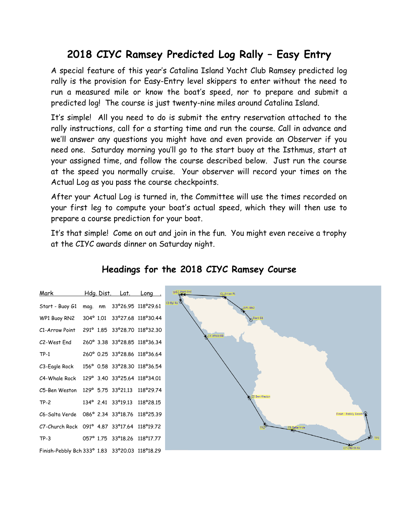## **2018 CIYC Ramsey Predicted Log Rally – Easy Entry**

A special feature of this year's Catalina Island Yacht Club Ramsey predicted log rally is the provision for Easy-Entry level skippers to enter without the need to run a measured mile or know the boat's speed, nor to prepare and submit a predicted log! The course is just twenty-nine miles around Catalina Island.

It's simple! All you need to do is submit the entry reservation attached to the rally instructions, call for a starting time and run the course. Call in advance and we'll answer any questions you might have and even provide an Observer if you need one. Saturday morning you'll go to the start buoy at the Isthmus, start at your assigned time, and follow the course described below. Just run the course at the speed you normally cruise. Your observer will record your times on the Actual Log as you pass the course checkpoints.

After your Actual Log is turned in, the Committee will use the times recorded on your first leg to compute your boat's actual speed, which they will then use to prepare a course prediction for your boat.

It's that simple! Come on out and join in the fun. You might even receive a trophy at the CIYC awards dinner on Saturday night.

| Mark                                             |         | <u>Hdg. Dist. Lat. Long.</u>   |                    |
|--------------------------------------------------|---------|--------------------------------|--------------------|
| Start - Buoy G1                                  | mag. nm |                                | 33°26.95 118°29.61 |
| WP1 Buoy RN2                                     |         | 304° 1.01 33° 27.68 118° 30.44 |                    |
| C1-Arrow Point                                   |         | 291° 1.85 33° 28.70 118° 32.30 |                    |
| C2-West End                                      |         | 260° 3.38 33° 28.85 118° 36.34 |                    |
| $TP-1$                                           |         | 260° 0.25 33°28.86 118°36.64   |                    |
| C3-Eagle Rock                                    |         | 156° 0.58 33°28.30 118°36.54   |                    |
| C4-Whale Rock                                    |         | 129° 3.40 33°25.64 118°34.01   |                    |
| C5-Ben Weston                                    |         | 129° 5.75 33°21.13 118°29.74   |                    |
| $TP-2$                                           |         | 134° 2.41 33° 19.13 118° 28.15 |                    |
| C6-Salta Verde                                   |         | 086° 2.34 33°18.76 118°25.39   |                    |
| C7-Church Rock                                   |         | 091° 4.87 33°17.64             | 118°19.72          |
| $TP-3$                                           |         | 057° 1.75 33° 18.26 118° 17.77 |                    |
| Finish-Pebbly Bch 333° 1.83 33° 20.03 118° 18.29 |         |                                |                    |

### **Headings for the 2018 CIYC Ramsey Course**

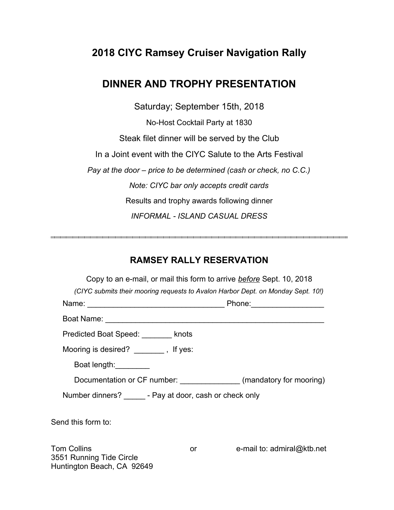### **2018 CIYC Ramsey Cruiser Navigation Rally**

### **DINNER AND TROPHY PRESENTATION**

Saturday; September 15th, 2018

No-Host Cocktail Party at 1830 Steak filet dinner will be served by the Club In a Joint event with the CIYC Salute to the Arts Festival *Pay at the door – price to be determined (cash or check, no C.C.) Note: CIYC bar only accepts credit cards* Results and trophy awards following dinner *INFORMAL - ISLAND CASUAL DRESS* 

#### **RAMSEY RALLY RESERVATION**

|                                                                              |                                                                                                                                                                                                                                                                                                                                                       | Copy to an e-mail, or mail this form to arrive <b>before</b> Sept. 10, 2018      |  |  |  |  |  |  |
|------------------------------------------------------------------------------|-------------------------------------------------------------------------------------------------------------------------------------------------------------------------------------------------------------------------------------------------------------------------------------------------------------------------------------------------------|----------------------------------------------------------------------------------|--|--|--|--|--|--|
|                                                                              |                                                                                                                                                                                                                                                                                                                                                       | (CIYC submits their mooring requests to Avalon Harbor Dept. on Monday Sept. 10!) |  |  |  |  |  |  |
| Phone: ____________________                                                  |                                                                                                                                                                                                                                                                                                                                                       |                                                                                  |  |  |  |  |  |  |
|                                                                              |                                                                                                                                                                                                                                                                                                                                                       |                                                                                  |  |  |  |  |  |  |
| Predicted Boat Speed: ______ knots                                           |                                                                                                                                                                                                                                                                                                                                                       |                                                                                  |  |  |  |  |  |  |
| Mooring is desired? _______, If yes:                                         |                                                                                                                                                                                                                                                                                                                                                       |                                                                                  |  |  |  |  |  |  |
| Boat length: _________                                                       |                                                                                                                                                                                                                                                                                                                                                       |                                                                                  |  |  |  |  |  |  |
|                                                                              |                                                                                                                                                                                                                                                                                                                                                       | Documentation or CF number: (mandatory for mooring)                              |  |  |  |  |  |  |
| Number dinners? - Pay at door, cash or check only                            |                                                                                                                                                                                                                                                                                                                                                       |                                                                                  |  |  |  |  |  |  |
| Send this form to:                                                           |                                                                                                                                                                                                                                                                                                                                                       |                                                                                  |  |  |  |  |  |  |
| <b>Tom Collins</b><br>3551 Running Tide Circle<br>Huntington Beach, CA 92649 | $or$ and $\overline{or}$ and $\overline{or}$ and $\overline{or}$ and $\overline{or}$ and $\overline{or}$ and $\overline{or}$ and $\overline{or}$ and $\overline{or}$ and $\overline{or}$ and $\overline{or}$ and $\overline{or}$ and $\overline{or}$ and $\overline{or}$ and $\overline{or}$ and $\overline{or}$ and $\overline{or}$ and $\overline{$ | e-mail to: admiral@ktb.net                                                       |  |  |  |  |  |  |